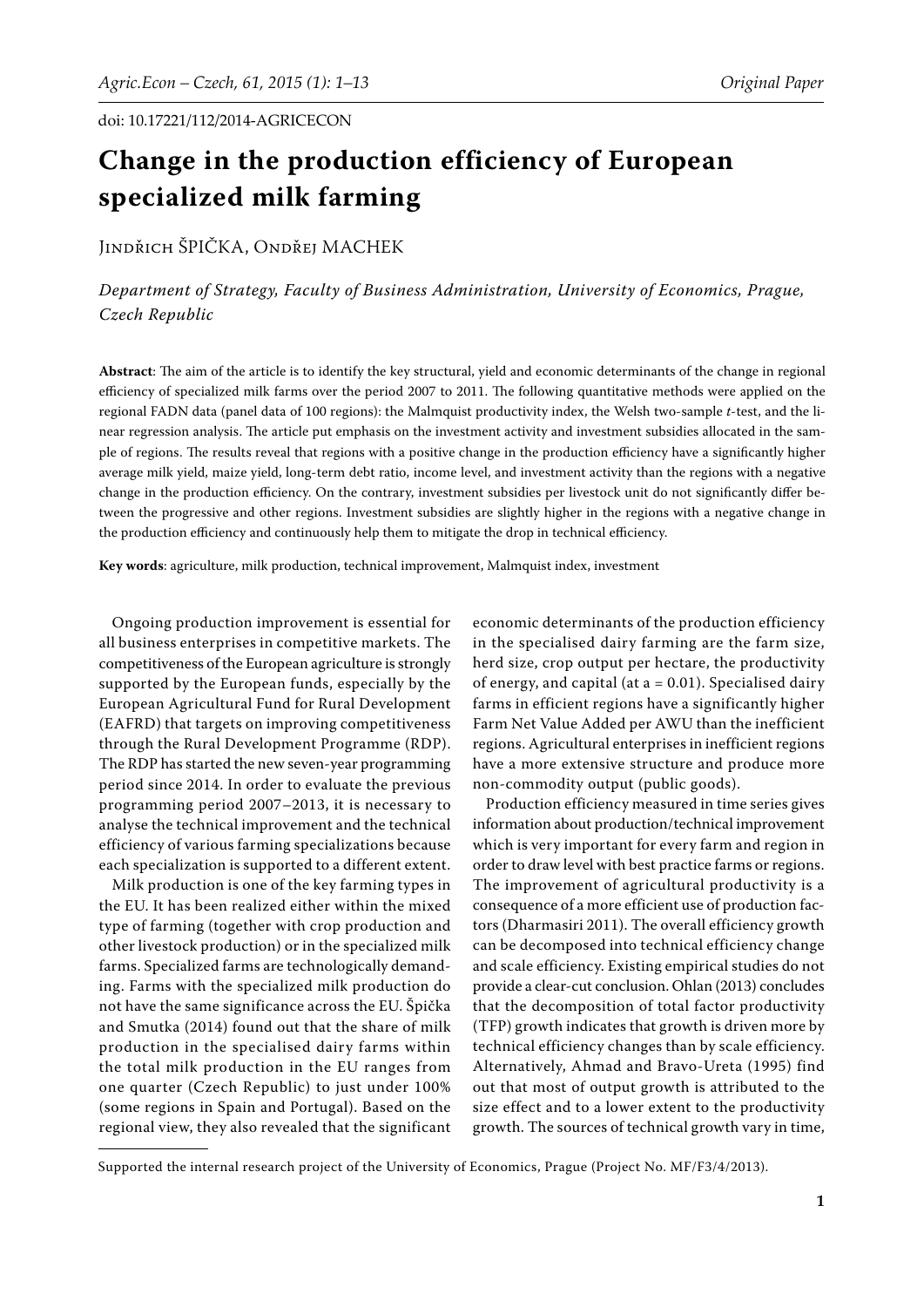# **Change in the production efficiency of European specialized milk farming**

JINDŘICH ŠPIČKA, ONDŘEJ MACHEK

# *Department of Strategy, Faculty of Business Administration, University of Economics, Prague, Czech Republic*

Abstract: The aim of the article is to identify the key structural, yield and economic determinants of the change in regional efficiency of specialized milk farms over the period 2007 to 2011. The following quantitative methods were applied on the regional FADN data (panel data of 100 regions): the Malmquist productivity index, the Welsh two-sample *t*-test, and the linear regression analysis. The article put emphasis on the investment activity and investment subsidies allocated in the sample of regions. The results reveal that regions with a positive change in the production efficiency have a significantly higher average milk yield, maize yield, long-term debt ratio, income level, and investment activity than the regions with a negative change in the production efficiency. On the contrary, investment subsidies per livestock unit do not significantly differ between the progressive and other regions. Investment subsidies are slightly higher in the regions with a negative change in the production efficiency and continuously help them to mitigate the drop in technical efficiency.

**Key words**: agriculture, milk production, technical improvement, Malmquist index, investment

Ongoing production improvement is essential for all business enterprises in competitive markets. The competitiveness of the European agriculture is strongly supported by the European funds, especially by the European Agricultural Fund for Rural Development (EAFRD) that targets on improving competitiveness through the Rural Development Programme (RDP). The RDP has started the new seven-year programming period since 2014. In order to evaluate the previous programming period 2007–2013, it is necessary to analyse the technical improvement and the technical efficiency of various farming specializations because each specialization is supported to a different extent.

Milk production is one of the key farming types in the EU. It has been realized either within the mixed type of farming (together with crop production and other livestock production) or in the specialized milk farms. Specialized farms are technologically demanding. Farms with the specialized milk production do not have the same significance across the EU. Špička and Smutka (2014) found out that the share of milk production in the specialised dairy farms within the total milk production in the EU ranges from one quarter (Czech Republic) to just under 100% (some regions in Spain and Portugal). Based on the regional view, they also revealed that the significant

economic determinants of the production efficiency in the specialised dairy farming are the farm size, herd size, crop output per hectare, the productivity of energy, and capital (at  $a = 0.01$ ). Specialised dairy farms in efficient regions have a significantly higher Farm Net Value Added per AWU than the inefficient regions. Agricultural enterprises in inefficient regions have a more extensive structure and produce more non-commodity output (public goods).

Production efficiency measured in time series gives information about production/technical improvement which is very important for every farm and region in order to draw level with best practice farms or regions. The improvement of agricultural productivity is a consequence of a more efficient use of production factors (Dharmasiri 2011). The overall efficiency growth can be decomposed into technical efficiency change and scale efficiency. Existing empirical studies do not provide a clear-cut conclusion. Ohlan (2013) concludes that the decomposition of total factor productivity (TFP) growth indicates that growth is driven more by technical efficiency changes than by scale efficiency. Alternatively, Ahmad and Bravo-Ureta (1995) find out that most of output growth is attributed to the size effect and to a lower extent to the productivity growth. The sources of technical growth vary in time,

Supported the internal research project of the University of Economics, Prague (Project No. MF/F3/4/2013).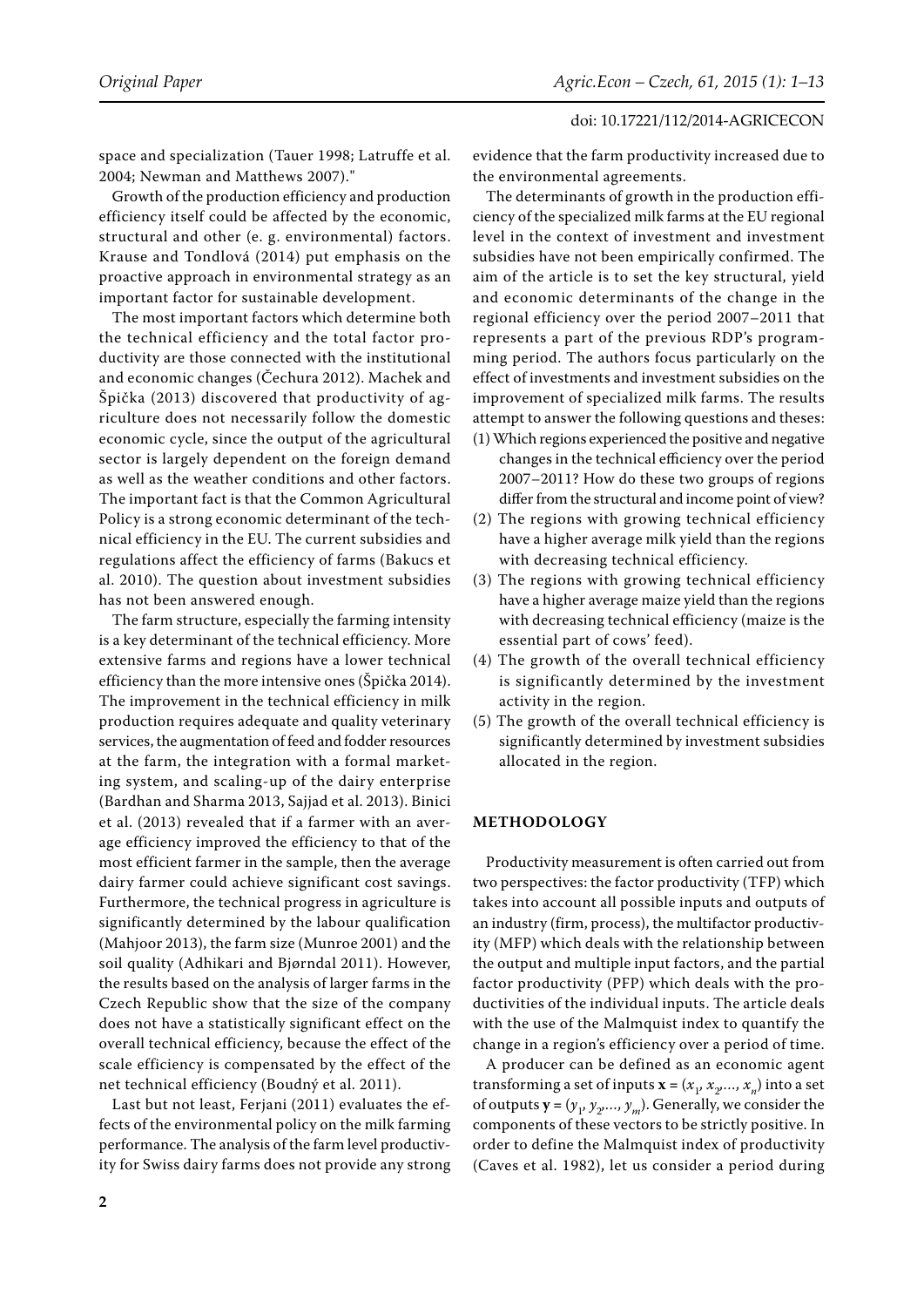space and specialization (Tauer 1998; Latruffe et al. 2004; Newman and Matthews 2007)."

Growth of the production efficiency and production efficiency itself could be affected by the economic, structural and other (e. g. environmental) factors. Krause and Tondlová (2014) put emphasis on the proactive approach in environmental strategy as an important factor for sustainable development.

The most important factors which determine both the technical efficiency and the total factor productivity are those connected with the institutional and economic changes (Čechura 2012). Machek and Špička (2013) discovered that productivity of agriculture does not necessarily follow the domestic economic cycle, since the output of the agricultural sector is largely dependent on the foreign demand as well as the weather conditions and other factors. The important fact is that the Common Agricultural Policy is a strong economic determinant of the technical efficiency in the EU. The current subsidies and regulations affect the efficiency of farms (Bakucs et al. 2010). The question about investment subsidies has not been answered enough.

The farm structure, especially the farming intensity is a key determinant of the technical efficiency. More extensive farms and regions have a lower technical efficiency than the more intensive ones (Špička 2014). The improvement in the technical efficiency in milk production requires adequate and quality veterinary services, the augmentation of feed and fodder resources at the farm, the integration with a formal marketing system, and scaling-up of the dairy enterprise (Bardhan and Sharma 2013, Sajjad et al. 2013). Binici et al. (2013) revealed that if a farmer with an average efficiency improved the efficiency to that of the most efficient farmer in the sample, then the average dairy farmer could achieve significant cost savings. Furthermore, the technical progress in agriculture is significantly determined by the labour qualification (Mahjoor 2013), the farm size (Munroe 2001) and the soil quality (Adhikari and Bjørndal 2011). However, the results based on the analysis of larger farms in the Czech Republic show that the size of the company does not have a statistically significant effect on the overall technical efficiency, because the effect of the scale efficiency is compensated by the effect of the net technical efficiency (Boudný et al. 2011).

Last but not least, Ferjani (2011) evaluates the effects of the environmental policy on the milk farming performance. The analysis of the farm level productivity for Swiss dairy farms does not provide any strong

evidence that the farm productivity increased due to the environmental agreements.

The determinants of growth in the production efficiency of the specialized milk farms at the EU regional level in the context of investment and investment subsidies have not been empirically confirmed. The aim of the article is to set the key structural, yield and economic determinants of the change in the regional efficiency over the period 2007–2011 that represents a part of the previous RDP's programming period. The authors focus particularly on the effect of investments and investment subsidies on the improvement of specialized milk farms. The results attempt to answer the following questions and theses:

- (1) Which regions experienced the positive and negative changes in the technical efficiency over the period 2007–2011? How do these two groups of regions differ from the structural and income point of view?
- (2) The regions with growing technical efficiency have a higher average milk yield than the regions with decreasing technical efficiency.
- (3) The regions with growing technical efficiency have a higher average maize yield than the regions with decreasing technical efficiency (maize is the essential part of cows' feed).
- (4) The growth of the overall technical efficiency is significantly determined by the investment activity in the region.
- (5) The growth of the overall technical efficiency is significantly determined by investment subsidies allocated in the region.

#### **METHODOLOGY**

Productivity measurement is often carried out from two perspectives: the factor productivity (TFP) which takes into account all possible inputs and outputs of an industry (firm, process), the multifactor productivity (MFP) which deals with the relationship between the output and multiple input factors, and the partial factor productivity (PFP) which deals with the productivities of the individual inputs. The article deals with the use of the Malmquist index to quantify the change in a region's efficiency over a period of time.

A producer can be defined as an economic agent transforming a set of inputs  $\mathbf{x} = (x_1, x_2, \ldots, x_n)$  into a set of outputs  $\mathbf{y} = (y_1, y_2, \ldots, y_m)$ . Generally, we consider the components of these vectors to be strictly positive. In order to define the Malmquist index of productivity (Caves et al. 1982), let us consider a period during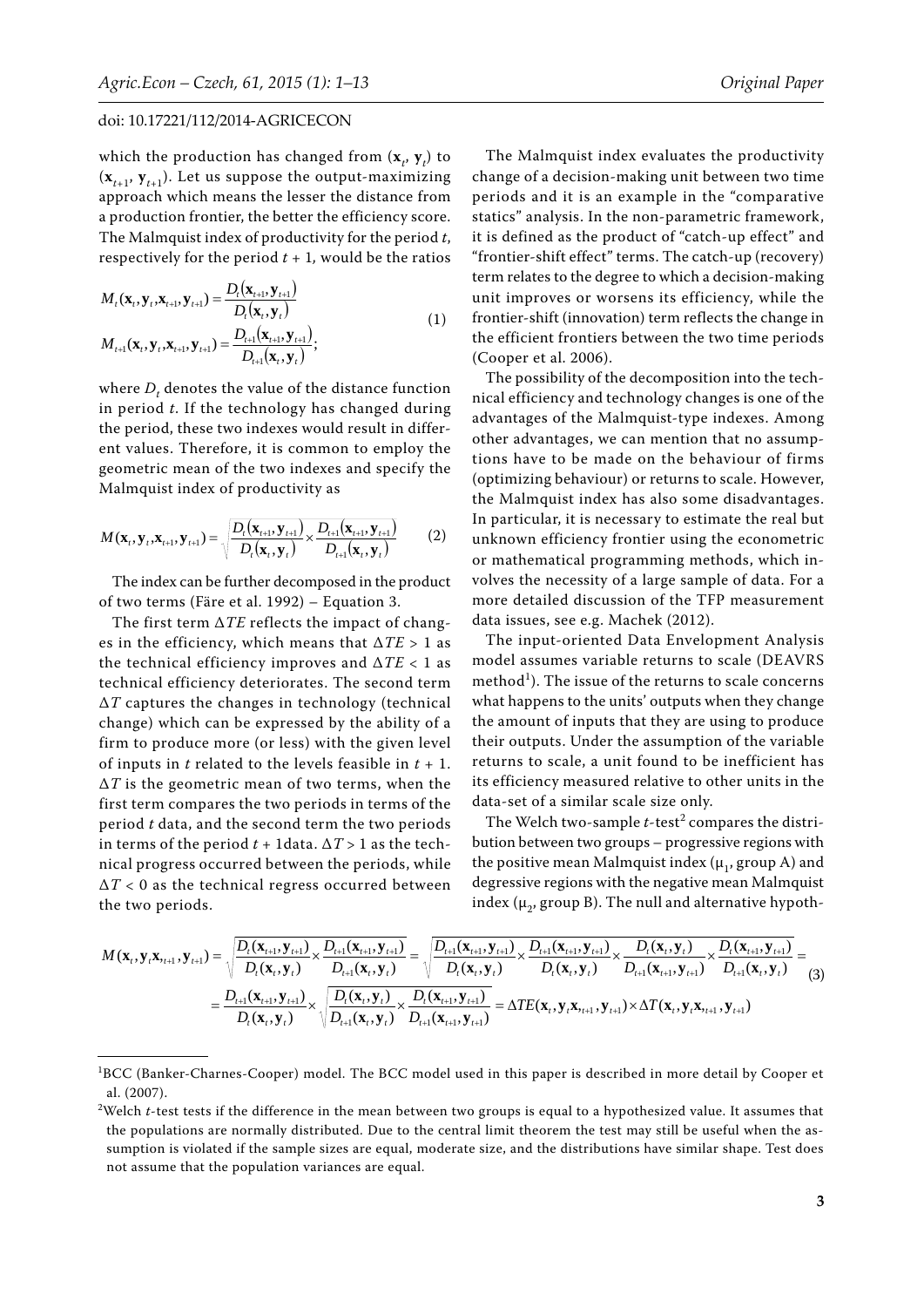which the production has changed from  $(\mathbf{x}_t, \mathbf{y}_t)$  to  $(\mathbf{x}_{t+1}, \mathbf{y}_{t+1})$ . Let us suppose the output-maximizing approach which means the lesser the distance from a production frontier, the better the efficiency score. The Malmquist index of productivity for the period *t*, respectively for the period  $t + 1$ , would be the ratios

$$
M_{t}(\mathbf{x}_{t}, \mathbf{y}_{t}, \mathbf{x}_{t+1}, \mathbf{y}_{t+1}) = \frac{D_{t}(\mathbf{x}_{t+1}, \mathbf{y}_{t+1})}{D_{t}(\mathbf{x}_{t}, \mathbf{y}_{t})}
$$
  

$$
M_{t+1}(\mathbf{x}_{t}, \mathbf{y}_{t}, \mathbf{x}_{t+1}, \mathbf{y}_{t+1}) = \frac{D_{t+1}(\mathbf{x}_{t+1}, \mathbf{y}_{t+1})}{D_{t+1}(\mathbf{x}_{t}, \mathbf{y}_{t})};
$$
(1)

where  $D_t$  denotes the value of the distance function in period *t*. If the technology has changed during the period, these two indexes would result in different values. Therefore, it is common to employ the geometric mean of the two indexes and specify the Malmquist index of productivity as

$$
M(\mathbf{x}_{t}, \mathbf{y}_{t}, \mathbf{x}_{t+1}, \mathbf{y}_{t+1}) = \sqrt{\frac{D_{t}(\mathbf{x}_{t+1}, \mathbf{y}_{t+1})}{D_{t}(\mathbf{x}_{t}, \mathbf{y}_{t})} \times \frac{D_{t+1}(\mathbf{x}_{t+1}, \mathbf{y}_{t+1})}{D_{t+1}(\mathbf{x}_{t}, \mathbf{y}_{t})}}
$$
(2)

The index can be further decomposed in the product of two terms (Färe et al. 1992) – Equation 3.

The first term Δ*TE* reflects the impact of changes in the efficiency, which means that  $\Delta TE > 1$  as the technical efficiency improves and  $\Delta TE < 1$  as technical efficiency deteriorates. The second term Δ*T* captures the changes in technology (technical change) which can be expressed by the ability of a firm to produce more (or less) with the given level of inputs in *t* related to the levels feasible in *t* + 1.  $\Delta T$  is the geometric mean of two terms, when the first term compares the two periods in terms of the period *t* data, and the second term the two periods in terms of the period  $t + 1$ data.  $\Delta T > 1$  as the technical progress occurred between the periods, while  $\Delta T$  < 0 as the technical regress occurred between the two periods.

The Malmquist index evaluates the productivity change of a decision-making unit between two time periods and it is an example in the "comparative statics" analysis. In the non-parametric framework, it is defined as the product of "catch-up effect" and "frontier-shift effect" terms. The catch-up (recovery) term relates to the degree to which a decision-making unit improves or worsens its efficiency, while the frontier-shift (innovation) term reflects the change in the efficient frontiers between the two time periods (Cooper et al. 2006).

The possibility of the decomposition into the technical efficiency and technology changes is one of the advantages of the Malmquist-type indexes. Among other advantages, we can mention that no assumptions have to be made on the behaviour of firms (optimizing behaviour) or returns to scale. However, the Malmquist index has also some disadvantages. In particular, it is necessary to estimate the real but unknown efficiency frontier using the econometric or mathematical programming methods, which involves the necessity of a large sample of data. For a more detailed discussion of the TFP measurement data issues, see e.g. Machek (2012).

The input-oriented Data Envelopment Analysis model assumes variable returns to scale (DEAVRS  $method<sup>1</sup>$ ). The issue of the returns to scale concerns what happens to the units' outputs when they change the amount of inputs that they are using to produce their outputs. Under the assumption of the variable returns to scale, a unit found to be inefficient has its efficiency measured relative to other units in the data-set of a similar scale size only.

The Welch two-sample *t*-test<sup>2</sup> compares the distribution between two groups – progressive regions with the positive mean Malmquist index  $(\mu_1, \text{group A})$  and degressive regions with the negative mean Malmquist index ( $\mu_2$ , group B). The null and alternative hypoth-

$$
M(\mathbf{x}_{t}, \mathbf{y}_{t}, \mathbf{x}_{t+1}, \mathbf{y}_{t+1}) = \sqrt{\frac{D_{t}(\mathbf{x}_{t+1}, \mathbf{y}_{t+1})}{D_{t}(\mathbf{x}_{t}, \mathbf{y}_{t})} \times \frac{D_{t+1}(\mathbf{x}_{t+1}, \mathbf{y}_{t+1})}{D_{t}(\mathbf{x}_{t}, \mathbf{y}_{t})}} = \sqrt{\frac{D_{t+1}(\mathbf{x}_{t+1}, \mathbf{y}_{t+1})}{D_{t}(\mathbf{x}_{t}, \mathbf{y}_{t})} \times \frac{D_{t+1}(\mathbf{x}_{t+1}, \mathbf{y}_{t+1})}{D_{t}(\mathbf{x}_{t}, \mathbf{y}_{t})} \times \frac{D_{t}(\mathbf{x}_{t}, \mathbf{y}_{t})}{D_{t+1}(\mathbf{x}_{t+1}, \mathbf{y}_{t+1})} \times \frac{D_{t}(\mathbf{x}_{t}, \mathbf{y}_{t})}{D_{t+1}(\mathbf{x}_{t}, \mathbf{y}_{t})}} = \frac{D_{t+1}(\mathbf{x}_{t+1}, \mathbf{y}_{t+1})}{D_{t}(\mathbf{x}_{t}, \mathbf{y}_{t})} \times \frac{D_{t}(\mathbf{x}_{t}, \mathbf{y}_{t})}{D_{t+1}(\mathbf{x}_{t}, \mathbf{y}_{t})} = \Delta TE(\mathbf{x}_{t}, \mathbf{y}_{t}, \mathbf{x}_{t+1}, \mathbf{y}_{t+1}) \times \Delta T(\mathbf{x}_{t}, \mathbf{y}_{t}, \mathbf{x}_{t+1}, \mathbf{y}_{t+1})
$$

<sup>&</sup>lt;sup>1</sup>BCC (Banker-Charnes-Cooper) model. The BCC model used in this paper is described in more detail by Cooper et al. (2007).

<sup>2</sup> Welch *t*-test tests if the difference in the mean between two groups is equal to a hypothesized value. It assumes that the populations are normally distributed. Due to the central limit theorem the test may still be useful when the assumption is violated if the sample sizes are equal, moderate size, and the distributions have similar shape. Test does not assume that the population variances are equal.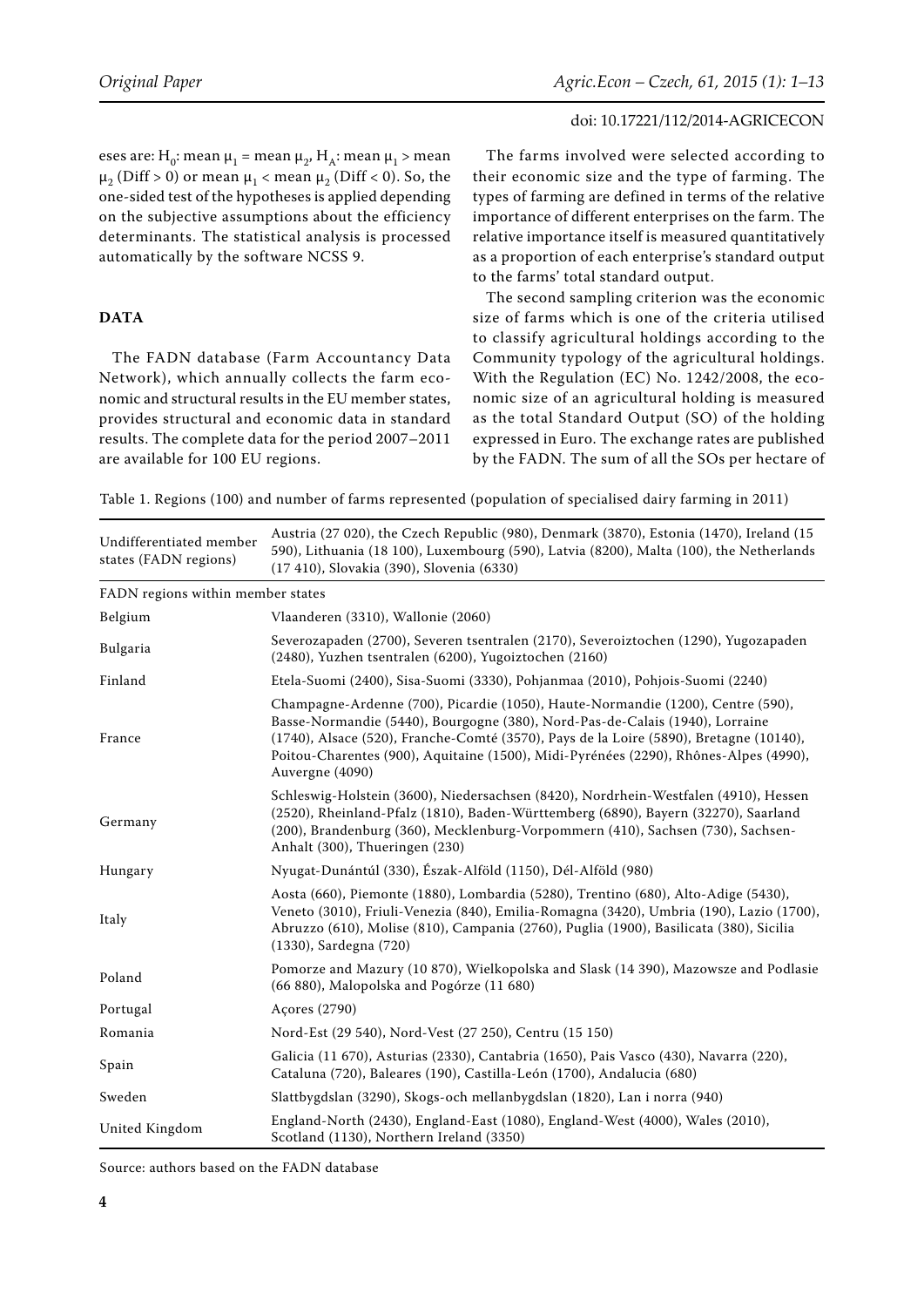eses are:  $H_0$ : mean  $\mu_1$  = mean  $\mu_2$ ,  $H_A$ : mean  $\mu_1$  > mean  $\mu$ <sub>2</sub> (Diff > 0) or mean  $\mu$ <sub>1</sub> < mean  $\mu$ <sub>2</sub> (Diff < 0). So, the one-sided test of the hypotheses is applied depending on the subjective assumptions about the efficiency determinants. The statistical analysis is processed automatically by the software NCSS 9.

## **DATA**

The FADN database (Farm Accountancy Data Network), which annually collects the farm economic and structural results in the EU member states, provides structural and economic data in standard results. The complete data for the period 2007–2011 are available for 100 EU regions.

The farms involved were selected according to their economic size and the type of farming. The types of farming are defined in terms of the relative importance of different enterprises on the farm. The relative importance itself is measured quantitatively as a proportion of each enterprise's standard output to the farms' total standard output.

The second sampling criterion was the economic size of farms which is one of the criteria utilised to classify agricultural holdings according to the Community typology of the agricultural holdings. With the Regulation (EC) No. 1242/2008, the economic size of an agricultural holding is measured as the total Standard Output (SO) of the holding expressed in Euro. The exchange rates are published by the FADN. The sum of all the SOs per hectare of

| Table 1. Regions (100) and number of farms represented (population of specialised dairy farming in 2011) |  |  |
|----------------------------------------------------------------------------------------------------------|--|--|
|----------------------------------------------------------------------------------------------------------|--|--|

| Undifferentiated member<br>states (FADN regions) | Austria (27 020), the Czech Republic (980), Denmark (3870), Estonia (1470), Ireland (15<br>590), Lithuania (18 100), Luxembourg (590), Latvia (8200), Malta (100), the Netherlands<br>(17 410), Slovakia (390), Slovenia (6330)                                                                                                                                      |
|--------------------------------------------------|----------------------------------------------------------------------------------------------------------------------------------------------------------------------------------------------------------------------------------------------------------------------------------------------------------------------------------------------------------------------|
| FADN regions within member states                |                                                                                                                                                                                                                                                                                                                                                                      |
| Belgium                                          | Vlaanderen (3310), Wallonie (2060)                                                                                                                                                                                                                                                                                                                                   |
| Bulgaria                                         | Severozapaden (2700), Severen tsentralen (2170), Severoiztochen (1290), Yugozapaden<br>(2480), Yuzhen tsentralen (6200), Yugoiztochen (2160)                                                                                                                                                                                                                         |
| Finland                                          | Etela-Suomi (2400), Sisa-Suomi (3330), Pohjanmaa (2010), Pohjois-Suomi (2240)                                                                                                                                                                                                                                                                                        |
| France                                           | Champagne-Ardenne (700), Picardie (1050), Haute-Normandie (1200), Centre (590),<br>Basse-Normandie (5440), Bourgogne (380), Nord-Pas-de-Calais (1940), Lorraine<br>(1740), Alsace (520), Franche-Comté (3570), Pays de la Loire (5890), Bretagne (10140),<br>Poitou-Charentes (900), Aquitaine (1500), Midi-Pyrénées (2290), Rhônes-Alpes (4990),<br>Auvergne (4090) |
| Germany                                          | Schleswig-Holstein (3600), Niedersachsen (8420), Nordrhein-Westfalen (4910), Hessen<br>(2520), Rheinland-Pfalz (1810), Baden-Württemberg (6890), Bayern (32270), Saarland<br>(200), Brandenburg (360), Mecklenburg-Vorpommern (410), Sachsen (730), Sachsen-<br>Anhalt (300), Thueringen (230)                                                                       |
| Hungary                                          | Nyugat-Dunántúl (330), Észak-Alföld (1150), Dél-Alföld (980)                                                                                                                                                                                                                                                                                                         |
| Italy                                            | Aosta (660), Piemonte (1880), Lombardia (5280), Trentino (680), Alto-Adige (5430),<br>Veneto (3010), Friuli-Venezia (840), Emilia-Romagna (3420), Umbria (190), Lazio (1700),<br>Abruzzo (610), Molise (810), Campania (2760), Puglia (1900), Basilicata (380), Sicilia<br>(1330), Sardegna (720)                                                                    |
| Poland                                           | Pomorze and Mazury (10 870), Wielkopolska and Slask (14 390), Mazowsze and Podlasie<br>(66 880), Malopolska and Pogórze (11 680)                                                                                                                                                                                                                                     |
| Portugal                                         | Açores (2790)                                                                                                                                                                                                                                                                                                                                                        |
| Romania                                          | Nord-Est (29 540), Nord-Vest (27 250), Centru (15 150)                                                                                                                                                                                                                                                                                                               |
| Spain                                            | Galicia (11 670), Asturias (2330), Cantabria (1650), Pais Vasco (430), Navarra (220),<br>Cataluna (720), Baleares (190), Castilla-León (1700), Andalucia (680)                                                                                                                                                                                                       |
| Sweden                                           | Slattbygdslan (3290), Skogs-och mellanbygdslan (1820), Lan i norra (940)                                                                                                                                                                                                                                                                                             |
| United Kingdom                                   | England-North (2430), England-East (1080), England-West (4000), Wales (2010),<br>Scotland (1130), Northern Ireland (3350)                                                                                                                                                                                                                                            |

Source: authors based on the FADN database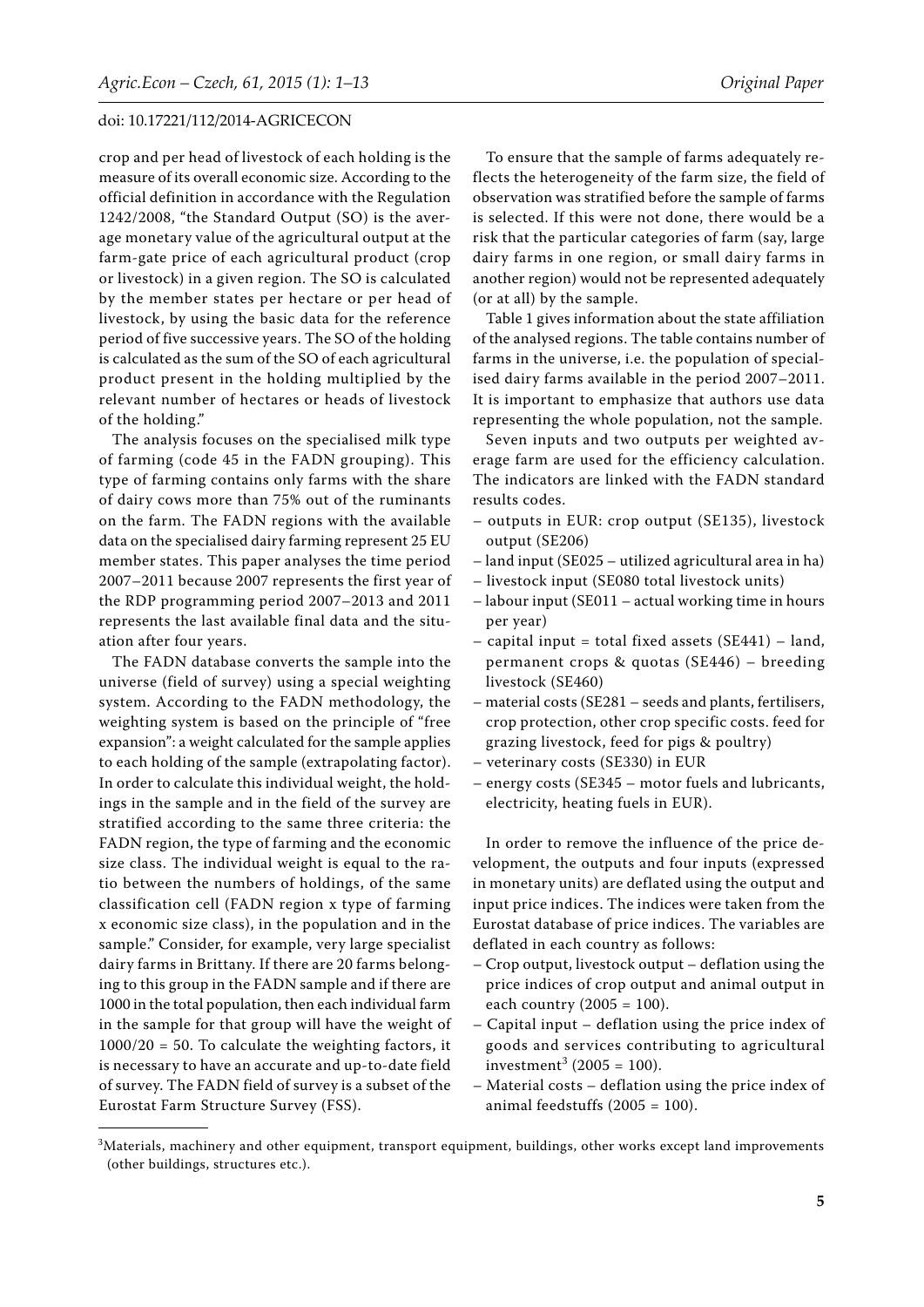crop and per head of livestock of each holding is the measure of its overall economic size. According to the official definition in accordance with the Regulation 1242/2008, "the Standard Output (SO) is the average monetary value of the agricultural output at the farm-gate price of each agricultural product (crop or livestock) in a given region. The SO is calculated by the member states per hectare or per head of livestock, by using the basic data for the reference period of five successive years. The SO of the holding is calculated as the sum of the SO of each agricultural product present in the holding multiplied by the relevant number of hectares or heads of livestock of the holding."

The analysis focuses on the specialised milk type of farming (code 45 in the FADN grouping). This type of farming contains only farms with the share of dairy cows more than 75% out of the ruminants on the farm. The FADN regions with the available data on the specialised dairy farming represent 25 EU member states. This paper analyses the time period 2007–2011 because 2007 represents the first year of the RDP programming period 2007–2013 and 2011 represents the last available final data and the situation after four years.

The FADN database converts the sample into the universe (field of survey) using a special weighting system. According to the FADN methodology, the weighting system is based on the principle of "free expansion": a weight calculated for the sample applies to each holding of the sample (extrapolating factor). In order to calculate this individual weight, the holdings in the sample and in the field of the survey are stratified according to the same three criteria: the FADN region, the type of farming and the economic size class. The individual weight is equal to the ratio between the numbers of holdings, of the same classification cell (FADN region x type of farming x economic size class), in the population and in the sample." Consider, for example, very large specialist dairy farms in Brittany. If there are 20 farms belonging to this group in the FADN sample and if there are 1000 in the total population, then each individual farm in the sample for that group will have the weight of  $1000/20 = 50$ . To calculate the weighting factors, it is necessary to have an accurate and up-to-date field of survey. The FADN field of survey is a subset of the Eurostat Farm Structure Survey (FSS).

To ensure that the sample of farms adequately reflects the heterogeneity of the farm size, the field of observation was stratified before the sample of farms is selected. If this were not done, there would be a risk that the particular categories of farm (say, large dairy farms in one region, or small dairy farms in another region) would not be represented adequately (or at all) by the sample.

Table 1 gives information about the state affiliation of the analysed regions. The table contains number of farms in the universe, i.e. the population of specialised dairy farms available in the period 2007–2011. It is important to emphasize that authors use data representing the whole population, not the sample.

Seven inputs and two outputs per weighted average farm are used for the efficiency calculation. The indicators are linked with the FADN standard results codes.

- outputs in EUR: crop output (SE135), livestock output (SE206)
- land input (SE025 utilized agricultural area in ha)
- livestock input (SE080 total livestock units)
- labour input (SE011 actual working time in hours per year)
- capital input = total fixed assets (SE441) land, permanent crops & quotas (SE446) – breeding livestock (SE460)
- material costs (SE281 seeds and plants, fertilisers, crop protection, other crop specific costs. feed for grazing livestock, feed for pigs & poultry)
- veterinary costs (SE330) in EUR
- energy costs (SE345 motor fuels and lubricants, electricity, heating fuels in EUR).

In order to remove the influence of the price development, the outputs and four inputs (expressed in monetary units) are deflated using the output and input price indices. The indices were taken from the Eurostat database of price indices. The variables are deflated in each country as follows:

- Crop output, livestock output deflation using the price indices of crop output and animal output in each country  $(2005 = 100)$ .
- Capital input deflation using the price index of goods and services contributing to agricultural investment<sup>3</sup> (2005 = 100).
- Material costs deflation using the price index of animal feedstuffs  $(2005 = 100)$ .

 $\rm{^{3}M}$ aterials, machinery and other equipment, transport equipment, buildings, other works except land improvements (other buildings, structures etc.).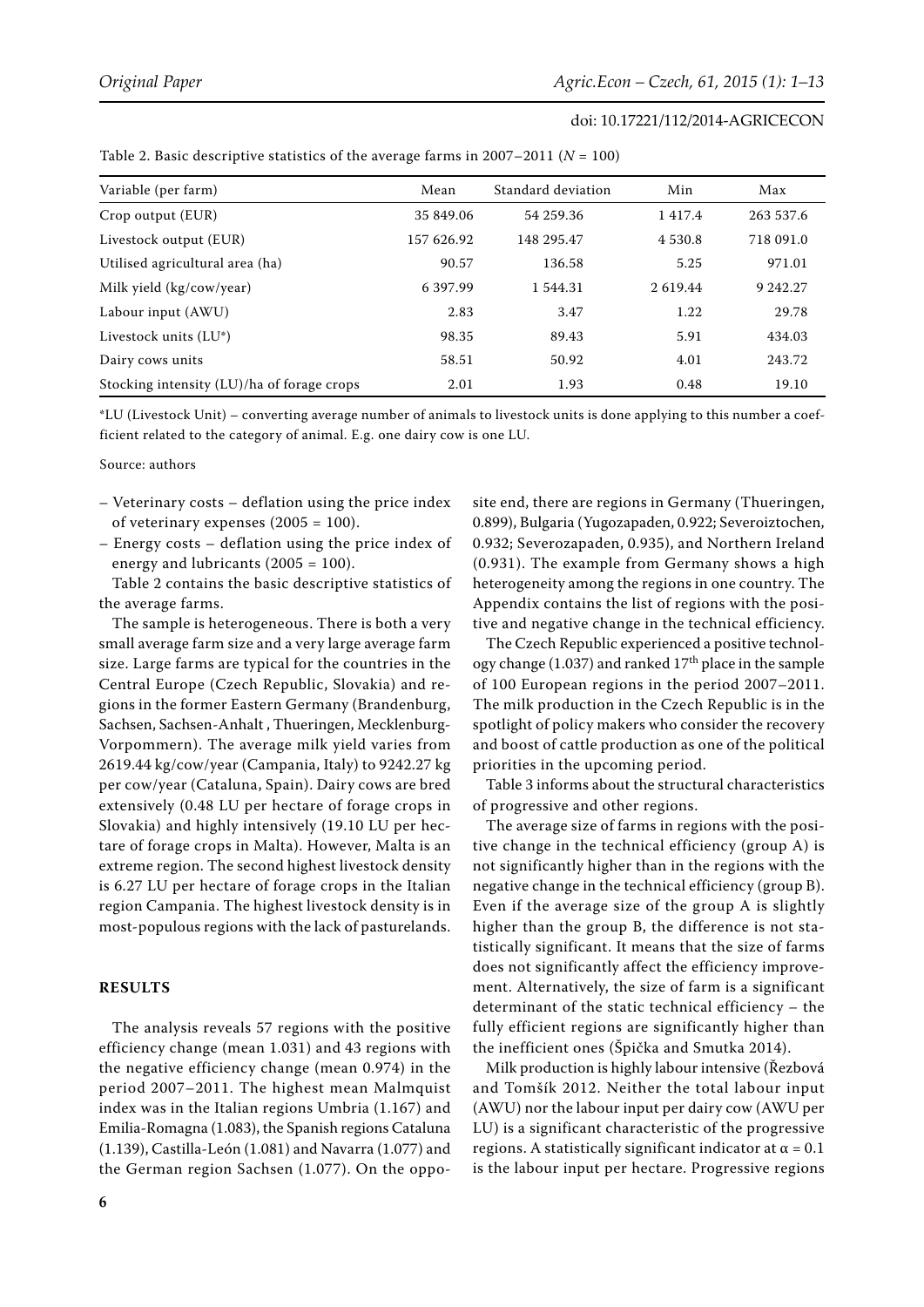| Variable (per farm)                        | Mean       | Standard deviation | Min         | Max       |
|--------------------------------------------|------------|--------------------|-------------|-----------|
| Crop output (EUR)                          | 35 849.06  | 54 259.36          | 1417.4      | 263 537.6 |
| Livestock output (EUR)                     | 157 626.92 | 148 295.47         | 4 5 3 0 . 8 | 718 091.0 |
| Utilised agricultural area (ha)            | 90.57      | 136.58             | 5.25        | 971.01    |
| Milk yield (kg/cow/year)                   | 6397.99    | 1 544.31           | 2619.44     | 9 242.27  |
| Labour input (AWU)                         | 2.83       | 3.47               | 1.22        | 29.78     |
| Livestock units (LU*)                      | 98.35      | 89.43              | 5.91        | 434.03    |
| Dairy cows units                           | 58.51      | 50.92              | 4.01        | 243.72    |
| Stocking intensity (LU)/ha of forage crops | 2.01       | 1.93               | 0.48        | 19.10     |

Table 2. Basic descriptive statistics of the average farms in  $2007-2011$  ( $N = 100$ )

\*LU (Livestock Unit) – converting average number of animals to livestock units is done applying to this number a coefficient related to the category of animal. E.g. one dairy cow is one LU.

Source: authors

- Veterinary costs deflation using the price index of veterinary expenses  $(2005 = 100)$ .
- Energy costs deflation using the price index of energy and lubricants (2005 = 100).

Table 2 contains the basic descriptive statistics of the average farms.

The sample is heterogeneous. There is both a very small average farm size and a very large average farm size. Large farms are typical for the countries in the Central Europe (Czech Republic, Slovakia) and regions in the former Eastern Germany (Brandenburg, Sachsen, Sachsen-Anhalt , Thueringen, Mecklenburg-Vorpommern). The average milk yield varies from 2619.44 kg/cow/year (Campania, Italy) to 9242.27 kg per cow/year (Cataluna, Spain). Dairy cows are bred extensively (0.48 LU per hectare of forage crops in Slovakia) and highly intensively (19.10 LU per hectare of forage crops in Malta). However, Malta is an extreme region. The second highest livestock density is 6.27 LU per hectare of forage crops in the Italian region Campania. The highest livestock density is in most-populous regions with the lack of pasturelands.

#### **RESULTS**

The analysis reveals 57 regions with the positive efficiency change (mean 1.031) and 43 regions with the negative efficiency change (mean 0.974) in the period 2007–2011. The highest mean Malmquist index was in the Italian regions Umbria (1.167) and Emilia-Romagna (1.083), the Spanish regions Cataluna (1.139), Castilla-León (1.081) and Navarra (1.077) and the German region Sachsen (1.077). On the oppo-

site end, there are regions in Germany (Thueringen, 0.899), Bulgaria (Yugozapaden, 0.922; Severoiztochen, 0.932; Severozapaden, 0.935), and Northern Ireland (0.931). The example from Germany shows a high heterogeneity among the regions in one country. The Appendix contains the list of regions with the positive and negative change in the technical efficiency.

The Czech Republic experienced a positive technology change (1.037) and ranked  $17<sup>th</sup>$  place in the sample of 100 European regions in the period 2007–2011. The milk production in the Czech Republic is in the spotlight of policy makers who consider the recovery and boost of cattle production as one of the political priorities in the upcoming period.

Table 3 informs about the structural characteristics of progressive and other regions.

The average size of farms in regions with the positive change in the technical efficiency (group A) is not significantly higher than in the regions with the negative change in the technical efficiency (group B). Even if the average size of the group A is slightly higher than the group B, the difference is not statistically significant. It means that the size of farms does not significantly affect the efficiency improvement. Alternatively, the size of farm is a significant determinant of the static technical efficiency – the fully efficient regions are significantly higher than the inefficient ones (Špička and Smutka 2014).

Milk production is highly labour intensive (Řezbová and Tomšík 2012. Neither the total labour input (AWU) nor the labour input per dairy cow (AWU per LU) is a significant characteristic of the progressive regions. A statistically significant indicator at  $\alpha = 0.1$ is the labour input per hectare. Progressive regions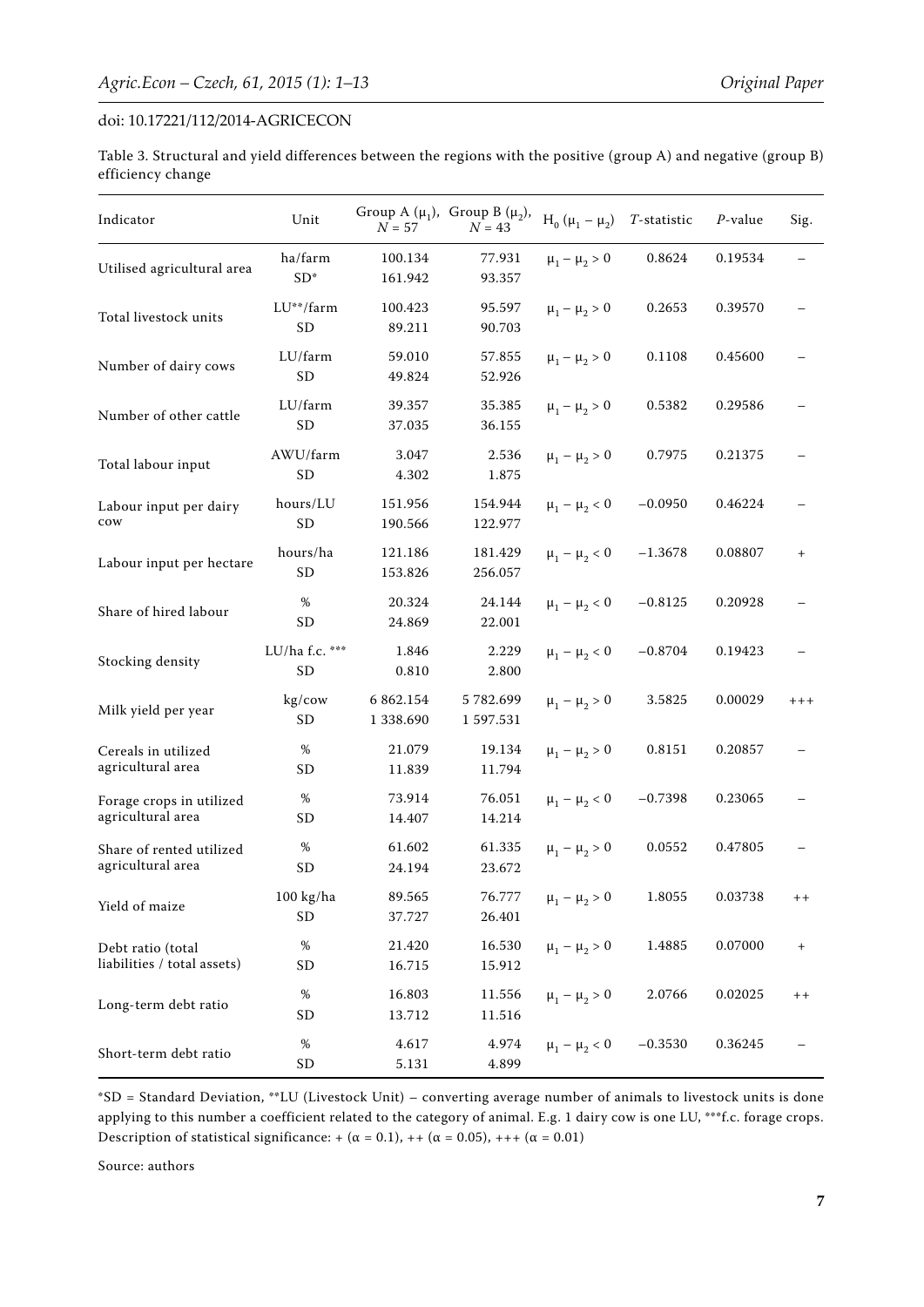Table 3. Structural and yield differences between the regions with the positive (group A) and negative (group B) efficiency change

| Indicator                                        | Unit                               | $N = 57$               | Group A $(\mu_1)$ , Group B $(\mu_2)$ ,<br>$N = 43$ | $H_0 (\mu_1 - \mu_2)$ | $T\mbox{-} \mathrm{statistic}$ | $P$ -value | Sig.    |
|--------------------------------------------------|------------------------------------|------------------------|-----------------------------------------------------|-----------------------|--------------------------------|------------|---------|
| Utilised agricultural area                       | ha/farm<br>$SD*$                   | 100.134<br>161.942     | 77.931<br>93.357                                    | $\mu_1 - \mu_2 > 0$   | 0.8624                         | 0.19534    |         |
| Total livestock units                            | $LU^{**}/\text{farm}$<br><b>SD</b> | 100.423<br>89.211      | 95.597<br>90.703                                    | $\mu_1 - \mu_2 > 0$   | 0.2653                         | 0.39570    |         |
| Number of dairy cows                             | LU/farm<br><b>SD</b>               | 59.010<br>49.824       | 57.855<br>52.926                                    | $\mu_1 - \mu_2 > 0$   | 0.1108                         | 0.45600    |         |
| Number of other cattle                           | LU/farm<br><b>SD</b>               | 39.357<br>37.035       | 35.385<br>36.155                                    | $\mu_1 - \mu_2 > 0$   | 0.5382                         | 0.29586    |         |
| Total labour input                               | AWU/farm<br><b>SD</b>              | 3.047<br>4.302         | 2.536<br>1.875                                      | $\mu_1 - \mu_2 > 0$   | 0.7975                         | 0.21375    |         |
| Labour input per dairy<br>cow                    | hours/LU<br><b>SD</b>              | 151.956<br>190.566     | 154.944<br>122.977                                  | $\mu_1 - \mu_2 < 0$   | $-0.0950$                      | 0.46224    |         |
| Labour input per hectare                         | hours/ha<br><b>SD</b>              | 121.186<br>153.826     | 181.429<br>256.057                                  | $\mu_1 - \mu_2 < 0$   | $-1.3678$                      | 0.08807    | $^{+}$  |
| Share of hired labour                            | $\%$<br><b>SD</b>                  | 20.324<br>24.869       | 24.144<br>22.001                                    | $\mu_1 - \mu_2 < 0$   | $-0.8125$                      | 0.20928    |         |
| Stocking density                                 | LU/ha f.c. ***<br><b>SD</b>        | 1.846<br>0.810         | 2.229<br>2.800                                      | $\mu_1 - \mu_2 < 0$   | $-0.8704$                      | 0.19423    |         |
| Milk yield per year                              | kg/cow<br><b>SD</b>                | 6 862.154<br>1 338.690 | 5782.699<br>1597.531                                | $\mu_1 - \mu_2 > 0$   | 3.5825                         | 0.00029    | $++++$  |
| Cereals in utilized<br>agricultural area         | %<br><b>SD</b>                     | 21.079<br>11.839       | 19.134<br>11.794                                    | $\mu_1 - \mu_2 > 0$   | 0.8151                         | 0.20857    |         |
| Forage crops in utilized<br>agricultural area    | $\%$<br><b>SD</b>                  | 73.914<br>14.407       | 76.051<br>14.214                                    | $\mu_1 - \mu_2 < 0$   | $-0.7398$                      | 0.23065    |         |
| Share of rented utilized<br>agricultural area    | %<br><b>SD</b>                     | 61.602<br>24.194       | 61.335<br>23.672                                    | $\mu_1 - \mu_2 > 0$   | 0.0552                         | 0.47805    |         |
| Yield of maize                                   | 100 kg/ha<br><b>SD</b>             | 89.565<br>37.727       | 76.777<br>26.401                                    | $\mu_1 - \mu_2 > 0$   | 1.8055                         | 0.03738    | $^{++}$ |
| Debt ratio (total<br>liabilities / total assets) | %<br><b>SD</b>                     | 21.420<br>16.715       | 16.530<br>15.912                                    | $\mu_1 - \mu_2 > 0$   | 1.4885                         | 0.07000    | $^{+}$  |
| Long-term debt ratio                             | $\%$<br><b>SD</b>                  | 16.803<br>13.712       | 11.556<br>11.516                                    | $\mu_1 - \mu_2 > 0$   | 2.0766                         | 0.02025    | $+ +$   |
| Short-term debt ratio                            | $\%$<br><b>SD</b>                  | 4.617<br>5.131         | 4.974<br>4.899                                      | $\mu_1 - \mu_2 < 0$   | $-0.3530$                      | 0.36245    |         |

\*SD = Standard Deviation, \*\*LU (Livestock Unit) – converting average number of animals to livestock units is done applying to this number a coefficient related to the category of animal. E.g. 1 dairy cow is one LU, \*\*\*f.c. forage crops. Description of statistical significance: + ( $\alpha$  = 0.1), + + ( $\alpha$  = 0.05), + + + ( $\alpha$  = 0.01)

Source: authors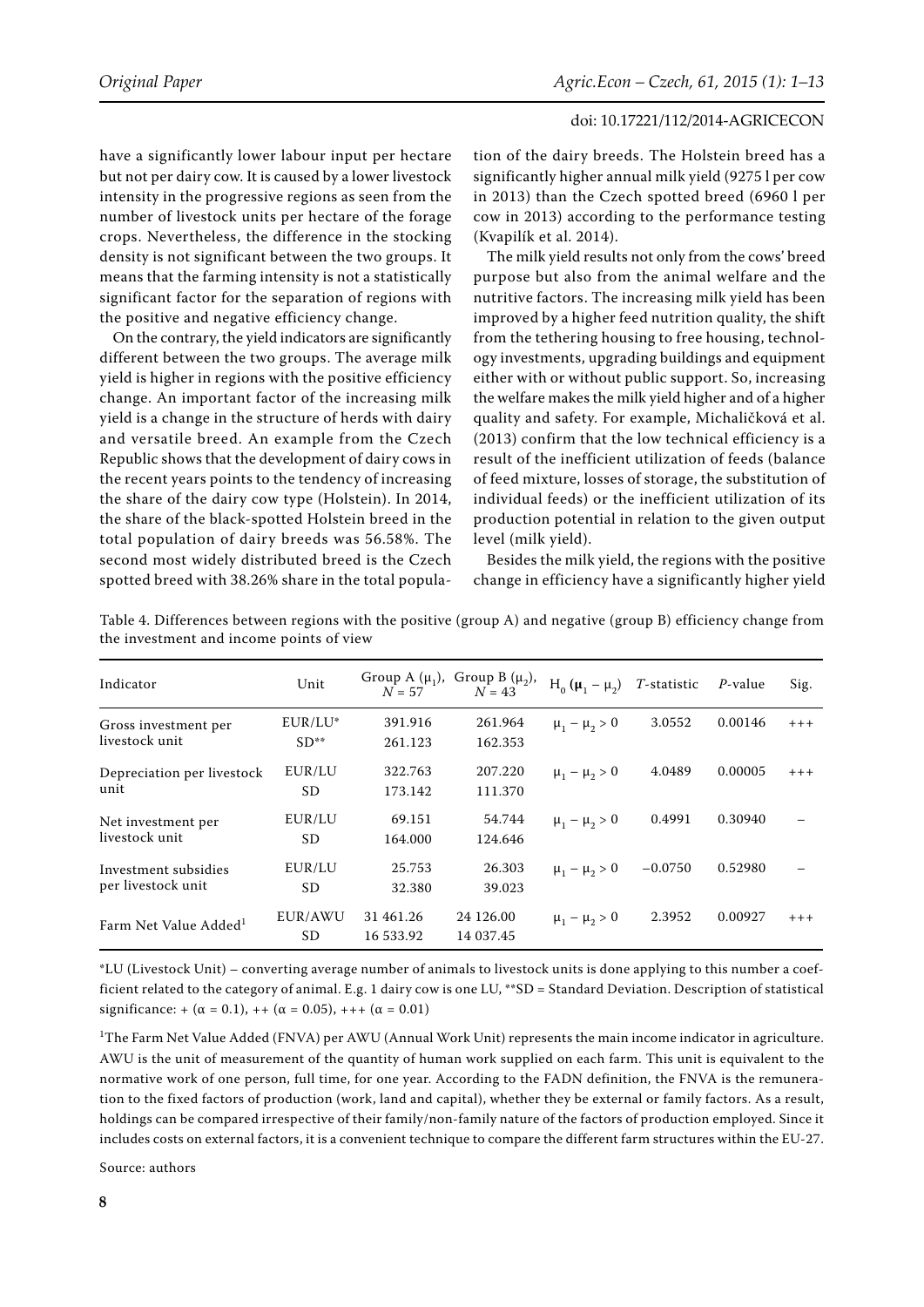have a significantly lower labour input per hectare but not per dairy cow. It is caused by a lower livestock intensity in the progressive regions as seen from the number of livestock units per hectare of the forage crops. Nevertheless, the difference in the stocking density is not significant between the two groups. It means that the farming intensity is not a statistically significant factor for the separation of regions with the positive and negative efficiency change.

On the contrary, the yield indicators are significantly different between the two groups. The average milk yield is higher in regions with the positive efficiency change. An important factor of the increasing milk yield is a change in the structure of herds with dairy and versatile breed. An example from the Czech Republic shows that the development of dairy cows in the recent years points to the tendency of increasing the share of the dairy cow type (Holstein). In 2014, the share of the black-spotted Holstein breed in the total population of dairy breeds was 56.58%. The second most widely distributed breed is the Czech spotted breed with 38.26% share in the total population of the dairy breeds. The Holstein breed has a significantly higher annual milk yield (9275 l per cow in 2013) than the Czech spotted breed (6960 l per cow in 2013) according to the performance testing (Kvapilík et al. 2014).

The milk yield results not only from the cows' breed purpose but also from the animal welfare and the nutritive factors. The increasing milk yield has been improved by a higher feed nutrition quality, the shift from the tethering housing to free housing, technology investments, upgrading buildings and equipment either with or without public support. So, increasing the welfare makes the milk yield higher and of a higher quality and safety. For example, Michaličková et al. (2013) confirm that the low technical efficiency is a result of the inefficient utilization of feeds (balance of feed mixture, losses of storage, the substitution of individual feeds) or the inefficient utilization of its production potential in relation to the given output level (milk yield).

Besides the milk yield, the regions with the positive change in efficiency have a significantly higher yield

| Indicator                                  | Unit                 | Group A $(\mu_1)$ ,<br>$N = 57$ | Group B $(\mu_2)$ ,<br>$N = 43$ | $H_0 (\mu_1 - \mu_2)$ | T-statistic | $P$ -value | Sig.  |
|--------------------------------------------|----------------------|---------------------------------|---------------------------------|-----------------------|-------------|------------|-------|
| Gross investment per<br>livestock unit     | $EUR/LU^*$<br>$SD**$ | 391.916<br>261.123              | 261.964<br>162.353              | $\mu_1 - \mu_2 > 0$   | 3.0552      | 0.00146    | $+++$ |
| Depreciation per livestock<br>unit         | EUR/LU<br>SD         | 322.763<br>173.142              | 207.220<br>111.370              | $\mu_1 - \mu_2 > 0$   | 4.0489      | 0.00005    | $+++$ |
| Net investment per<br>livestock unit       | EUR/LU<br>SD         | 69.151<br>164.000               | 54.744<br>124.646               | $\mu_1 - \mu_2 > 0$   | 0.4991      | 0.30940    |       |
| Investment subsidies<br>per livestock unit | EUR/LU<br>SD         | 25.753<br>32.380                | 26.303<br>39.023                | $\mu_1 - \mu_2 > 0$   | $-0.0750$   | 0.52980    |       |
| Farm Net Value Added <sup>1</sup>          | EUR/AWU<br>SD        | 31 461.26<br>16 533.92          | 24 126.00<br>14 037.45          | $\mu_1 - \mu_2 > 0$   | 2.3952      | 0.00927    | $+++$ |

Table 4. Differences between regions with the positive (group A) and negative (group B) efficiency change from the investment and income points of view

\*LU (Livestock Unit) – converting average number of animals to livestock units is done applying to this number a coefficient related to the category of animal. E.g. 1 dairy cow is one LU, \*\*SD = Standard Deviation. Description of statistical significance: + ( $\alpha$  = 0.1), + + ( $\alpha$  = 0.05), + + + ( $\alpha$  = 0.01)

<sup>1</sup>The Farm Net Value Added (FNVA) per AWU (Annual Work Unit) represents the main income indicator in agriculture. AWU is the unit of measurement of the quantity of human work supplied on each farm. This unit is equivalent to the normative work of one person, full time, for one year. According to the FADN definition, the FNVA is the remuneration to the fixed factors of production (work, land and capital), whether they be external or family factors. As a result, holdings can be compared irrespective of their family/non-family nature of the factors of production employed. Since it includes costs on external factors, it is a convenient technique to compare the different farm structures within the EU-27.

Source: authors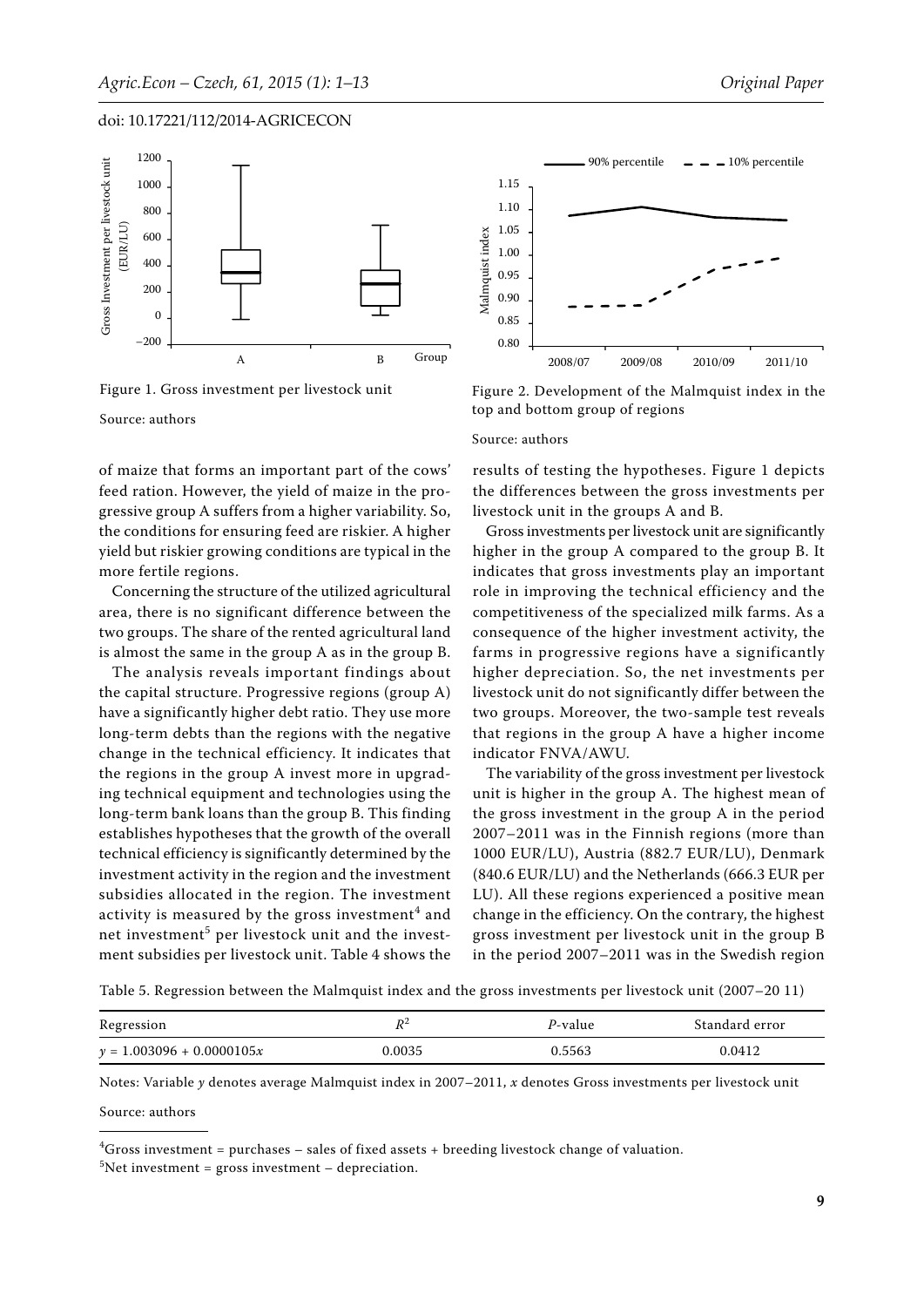

Figure 1. Gross investment per livestock unit

Source: authors

of maize that forms an important part of the cows' feed ration. However, the yield of maize in the progressive group A suffers from a higher variability. So, the conditions for ensuring feed are riskier. A higher yield but riskier growing conditions are typical in the more fertile regions.

Concerning the structure of the utilized agricultural area, there is no significant difference between the two groups. The share of the rented agricultural land is almost the same in the group A as in the group B.

The analysis reveals important findings about the capital structure. Progressive regions (group A) have a significantly higher debt ratio. They use more long-term debts than the regions with the negative change in the technical efficiency. It indicates that the regions in the group A invest more in upgrading technical equipment and technologies using the long-term bank loans than the group B. This finding establishes hypotheses that the growth of the overall technical efficiency is significantly determined by the investment activity in the region and the investment subsidies allocated in the region. The investment activity is measured by the gross investment $^4$  and net investment<sup>5</sup> per livestock unit and the investment subsidies per livestock unit. Table 4 shows the



Figure 2. Development of the Malmquist index in the top and bottom group of regions

Source: authors

results of testing the hypotheses. Figure 1 depicts the differences between the gross investments per livestock unit in the groups A and B.

Gross investments per livestock unit are significantly higher in the group A compared to the group B. It indicates that gross investments play an important role in improving the technical efficiency and the competitiveness of the specialized milk farms. As a consequence of the higher investment activity, the farms in progressive regions have a significantly higher depreciation. So, the net investments per livestock unit do not significantly differ between the two groups. Moreover, the two-sample test reveals that regions in the group A have a higher income indicator FNVA/AWU.

The variability of the gross investment per livestock unit is higher in the group A. The highest mean of the gross investment in the group A in the period 2007–2011 was in the Finnish regions (more than 1000 EUR/LU), Austria (882.7 EUR/LU), Denmark (840.6 EUR/LU) and the Netherlands (666.3 EUR per LU). All these regions experienced a positive mean change in the efficiency. On the contrary, the highest gross investment per livestock unit in the group B in the period 2007–2011 was in the Swedish region

Table 5. Regression between the Malmquist index and the gross investments per livestock unit (2007–20 11)

| Regression                  |        | P-value | Standard error |
|-----------------------------|--------|---------|----------------|
| $y = 1.003096 + 0.0000105x$ | 1.0035 | 0.5563  | 0 0412         |

Notes: Variable *y* denotes average Malmquist index in 2007–2011, *x* denotes Gross investments per livestock unit Source: authors

4 Gross investment = purchases – sales of fixed assets + breeding livestock change of valuation.  $5$ Net investment = gross investment – depreciation.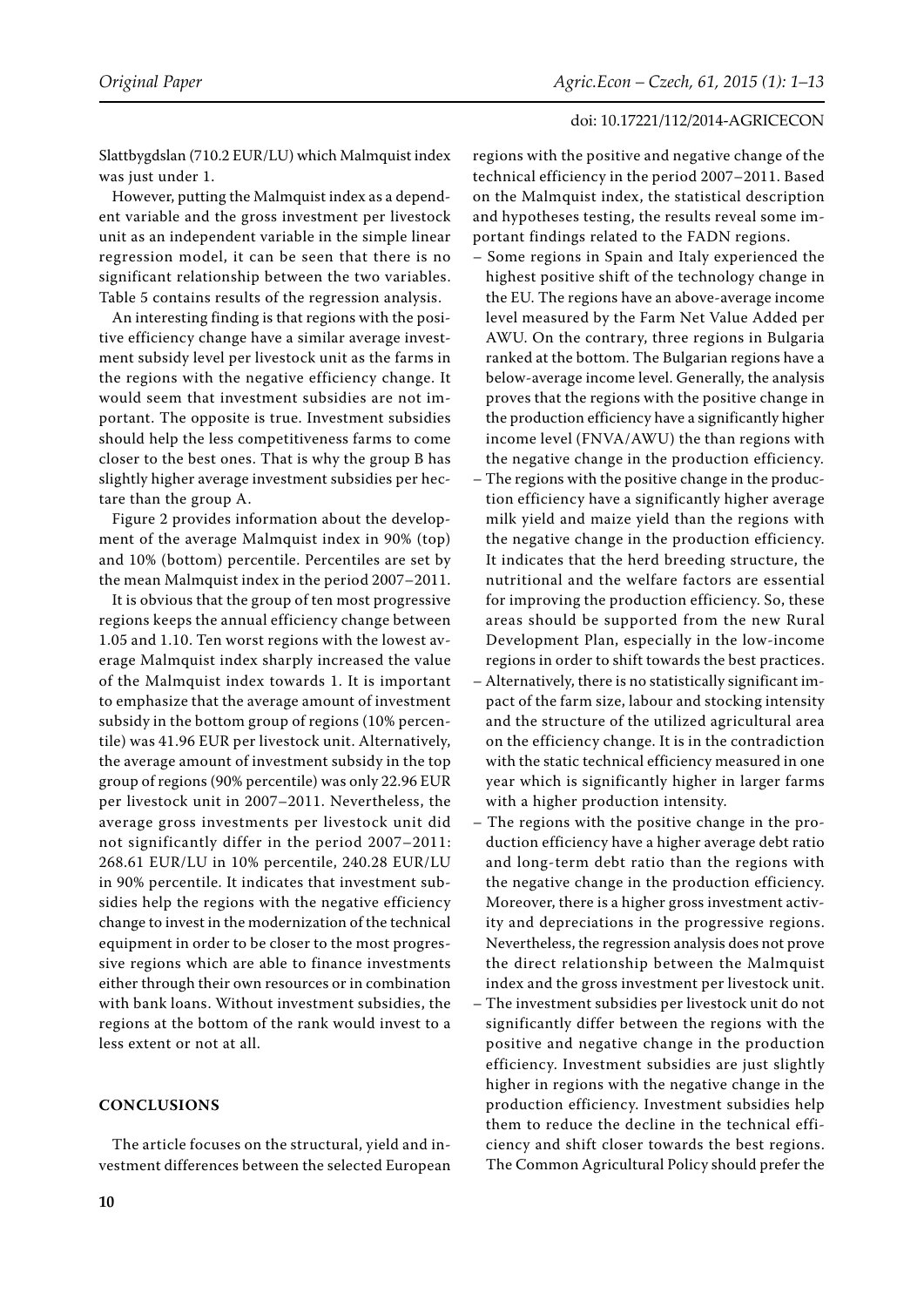Slattbygdslan (710.2 EUR/LU) which Malmquist index was just under 1.

However, putting the Malmquist index as a dependent variable and the gross investment per livestock unit as an independent variable in the simple linear regression model, it can be seen that there is no significant relationship between the two variables. Table 5 contains results of the regression analysis.

An interesting finding is that regions with the positive efficiency change have a similar average investment subsidy level per livestock unit as the farms in the regions with the negative efficiency change. It would seem that investment subsidies are not important. The opposite is true. Investment subsidies should help the less competitiveness farms to come closer to the best ones. That is why the group B has slightly higher average investment subsidies per hectare than the group A.

Figure 2 provides information about the development of the average Malmquist index in 90% (top) and 10% (bottom) percentile. Percentiles are set by the mean Malmquist index in the period 2007–2011.

It is obvious that the group of ten most progressive regions keeps the annual efficiency change between 1.05 and 1.10. Ten worst regions with the lowest average Malmquist index sharply increased the value of the Malmquist index towards 1. It is important to emphasize that the average amount of investment subsidy in the bottom group of regions (10% percentile) was 41.96 EUR per livestock unit. Alternatively, the average amount of investment subsidy in the top group of regions (90% percentile) was only 22.96 EUR per livestock unit in 2007–2011. Nevertheless, the average gross investments per livestock unit did not significantly differ in the period 2007–2011: 268.61 EUR/LU in 10% percentile, 240.28 EUR/LU in 90% percentile. It indicates that investment subsidies help the regions with the negative efficiency change to invest in the modernization of the technical equipment in order to be closer to the most progressive regions which are able to finance investments either through their own resources or in combination with bank loans. Without investment subsidies, the regions at the bottom of the rank would invest to a less extent or not at all.

# **CONCLUSIONS**

The article focuses on the structural, yield and investment differences between the selected European

regions with the positive and negative change of the technical efficiency in the period 2007–2011. Based on the Malmquist index, the statistical description and hypotheses testing, the results reveal some important findings related to the FADN regions.

- Some regions in Spain and Italy experienced the highest positive shift of the technology change in the EU. The regions have an above-average income level measured by the Farm Net Value Added per AWU. On the contrary, three regions in Bulgaria ranked at the bottom. The Bulgarian regions have a below-average income level. Generally, the analysis proves that the regions with the positive change in the production efficiency have a significantly higher income level (FNVA/AWU) the than regions with the negative change in the production efficiency.
- The regions with the positive change in the production efficiency have a significantly higher average milk yield and maize yield than the regions with the negative change in the production efficiency. It indicates that the herd breeding structure, the nutritional and the welfare factors are essential for improving the production efficiency. So, these areas should be supported from the new Rural Development Plan, especially in the low-income regions in order to shift towards the best practices. – Alternatively, there is no statistically significant im-
- pact of the farm size, labour and stocking intensity and the structure of the utilized agricultural area on the efficiency change. It is in the contradiction with the static technical efficiency measured in one year which is significantly higher in larger farms with a higher production intensity.
- The regions with the positive change in the production efficiency have a higher average debt ratio and long-term debt ratio than the regions with the negative change in the production efficiency. Moreover, there is a higher gross investment activity and depreciations in the progressive regions. Nevertheless, the regression analysis does not prove the direct relationship between the Malmquist index and the gross investment per livestock unit.
- The investment subsidies per livestock unit do not significantly differ between the regions with the positive and negative change in the production efficiency. Investment subsidies are just slightly higher in regions with the negative change in the production efficiency. Investment subsidies help them to reduce the decline in the technical efficiency and shift closer towards the best regions. The Common Agricultural Policy should prefer the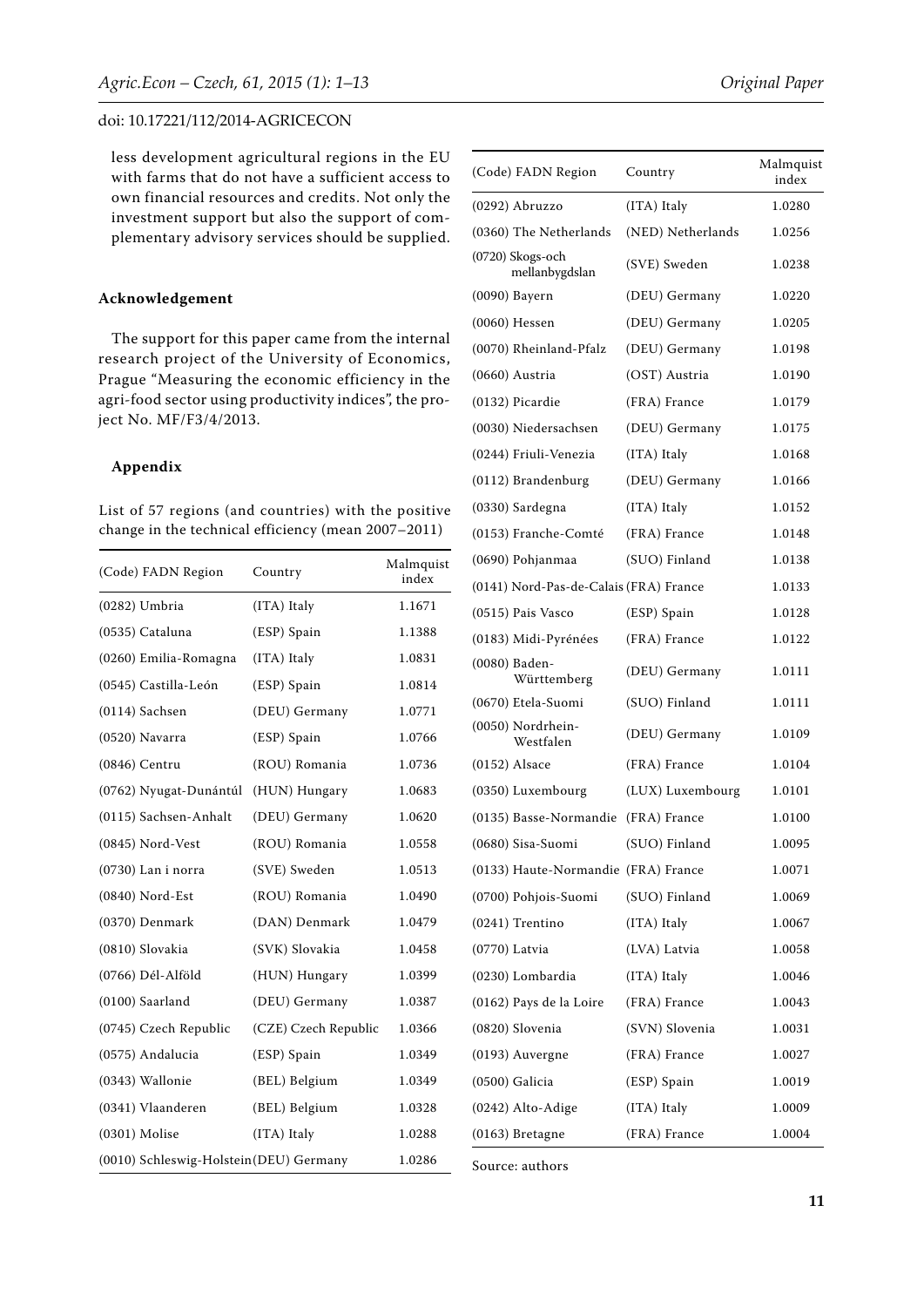less development agricultural regions in the EU with farms that do not have a sufficient access to own financial resources and credits. Not only the investment support but also the support of complementary advisory services should be supplied.

# **Acknowledgement**

The support for this paper came from the internal research project of the University of Economics, Prague "Measuring the economic efficiency in the agri-food sector using productivity indices", the project No. MF/F3/4/2013.

# **Appendix**

List of 57 regions (and countries) with the positive change in the technical efficiency (mean 2007–2011)

| (Code) FADN Region                     | Country              | Malmquist<br>index |
|----------------------------------------|----------------------|--------------------|
| (0282) Umbria                          | (ITA) Italy          | 1.1671             |
| (0535) Cataluna                        | (ESP) Spain          | 1.1388             |
| (0260) Emilia-Romagna                  | (ITA) Italy          | 1.0831             |
| (0545) Castilla-León                   | (ESP) Spain          | 1.0814             |
| (0114) Sachsen                         | (DEU) Germany        | 1.0771             |
| (0520) Navarra                         | (ESP) Spain          | 1.0766             |
| (0846) Centru                          | (ROU) Romania        | 1.0736             |
| (0762) Nyugat-Dunántúl                 | (HUN) Hungary        | 1.0683             |
| (0115) Sachsen-Anhalt                  | (DEU) Germany        | 1.0620             |
| (0845) Nord-Vest                       | (ROU) Romania        | 1.0558             |
| (0730) Lan i norra                     | (SVE) Sweden         | 1.0513             |
| (0840) Nord-Est                        | (ROU) Romania        | 1.0490             |
| (0370) Denmark                         | (DAN) Denmark        | 1.0479             |
| (0810) Slovakia                        | (SVK) Slovakia       | 1.0458             |
| (0766) Dél-Alföld                      | (HUN) Hungary        | 1.0399             |
| (0100) Saarland                        | (DEU) Germany        | 1.0387             |
| (0745) Czech Republic                  | (CZE) Czech Republic | 1.0366             |
| (0575) Andalucia                       | (ESP) Spain          | 1.0349             |
| (0343) Wallonie                        | (BEL) Belgium        | 1.0349             |
| (0341) Vlaanderen                      | (BEL) Belgium        | 1.0328             |
| (0301) Molise                          | (ITA) Italy          | 1.0288             |
| (0010) Schleswig-Holstein(DEU) Germany |                      | 1.0286             |

| (Code) FADN Region                     | Country           | Malmquist<br>index |
|----------------------------------------|-------------------|--------------------|
| (0292) Abruzzo                         | (ITA) Italy       | 1.0280             |
| (0360) The Netherlands                 | (NED) Netherlands | 1.0256             |
| $(0720)$ Skogs-och<br>mellanbygdslan   | (SVE) Sweden      | 1.0238             |
| (0090) Bayern                          | (DEU) Germany     | 1.0220             |
| $(0060)$ Hessen                        | (DEU) Germany     | 1.0205             |
| (0070) Rheinland-Pfalz                 | (DEU) Germany     | 1.0198             |
| (0660) Austria                         | (OST) Austria     | 1.0190             |
| (0132) Picardie                        | (FRA) France      | 1.0179             |
| (0030) Niedersachsen                   | (DEU) Germany     | 1.0175             |
| (0244) Friuli-Venezia                  | (ITA) Italy       | 1.0168             |
| (0112) Brandenburg                     | (DEU) Germany     | 1.0166             |
| (0330) Sardegna                        | (ITA) Italy       | 1.0152             |
| (0153) Franche-Comté                   | (FRA) France      | 1.0148             |
| (0690) Pohjanmaa                       | (SUO) Finland     | 1.0138             |
| (0141) Nord-Pas-de-Calais (FRA) France |                   | 1.0133             |
| (0515) Pais Vasco                      | (ESP) Spain       | 1.0128             |
| (0183) Midi-Pyrénées                   | (FRA) France      | 1.0122             |
| (0080) Baden-<br>Württemberg           | (DEU) Germany     | 1.0111             |
| (0670) Etela-Suomi                     | (SUO) Finland     | 1.0111             |
| (0050) Nordrhein-<br>Westfalen         | (DEU) Germany     | 1.0109             |
| $(0152)$ Alsace                        | (FRA) France      | 1.0104             |
| (0350) Luxembourg                      | (LUX) Luxembourg  | 1.0101             |
| (0135) Basse-Normandie                 | (FRA) France      | 1.0100             |
| (0680) Sisa-Suomi                      | (SUO) Finland     | 1.0095             |
| (0133) Haute-Normandie (FRA) France    |                   | 1.0071             |
| (0700) Pohjois-Suomi                   | (SUO) Finland     | 1.0069             |
| (0241) Trentino                        | (ITA) Italy       | 1.0067             |
| (0770) Latvia                          | (LVA) Latvia      | 1.0058             |
| (0230) Lombardia                       | (ITA) Italy       | 1.0046             |
| (0162) Pays de la Loire                | (FRA) France      | 1.0043             |
| (0820) Slovenia                        | (SVN) Slovenia    | 1.0031             |
| (0193) Auvergne                        | (FRA) France      | 1.0027             |
| (0500) Galicia                         | (ESP) Spain       | 1.0019             |
| (0242) Alto-Adige                      | (ITA) Italy       | 1.0009             |
| (0163) Bretagne                        | (FRA) France      | 1.0004             |

Source: authors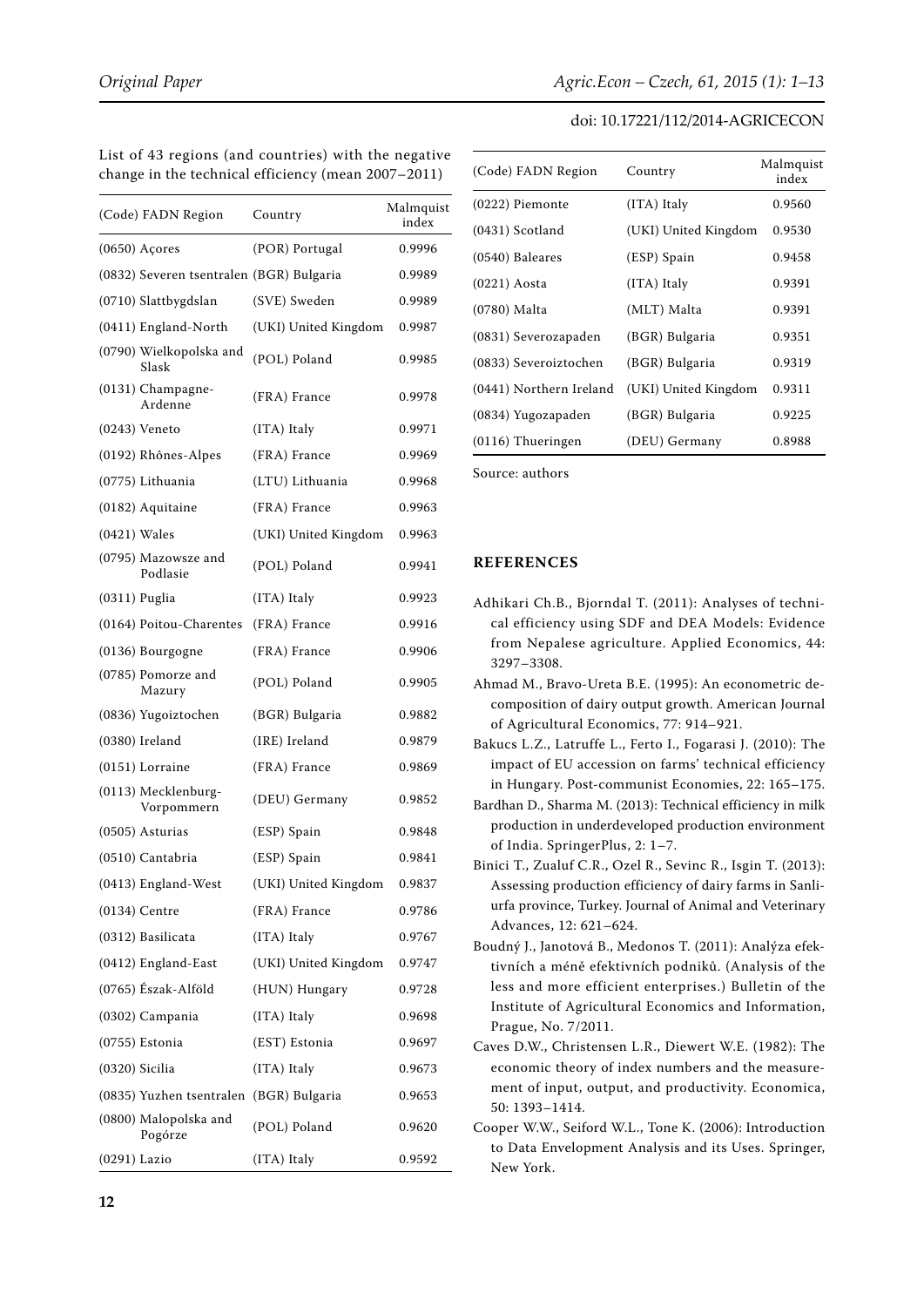| (Code) FADN Region                       | Country              | Malmquist<br>index |
|------------------------------------------|----------------------|--------------------|
| $(0650)$ Açores                          | (POR) Portugal       | 0.9996             |
| (0832) Severen tsentralen (BGR) Bulgaria |                      | 0.9989             |
| (0710) Slattbygdslan                     | (SVE) Sweden         | 0.9989             |
| (0411) England-North                     | (UKI) United Kingdom | 0.9987             |
| (0790) Wielkopolska and<br>Slask         | (POL) Poland         | 0.9985             |
| (0131) Champagne-<br>Ardenne             | (FRA) France         | 0.9978             |
| $(0243)$ Veneto                          | (ITA) Italy          | 0.9971             |
| (0192) Rhônes-Alpes                      | (FRA) France         | 0.9969             |
| (0775) Lithuania                         | (LTU) Lithuania      | 0.9968             |
| (0182) Aquitaine                         | (FRA) France         | 0.9963             |
| $(0421)$ Wales                           | (UKI) United Kingdom | 0.9963             |
| (0795) Mazowsze and<br>Podlasie          | (POL) Poland         | 0.9941             |
| (0311) Puglia                            | (ITA) Italy          | 0.9923             |
| (0164) Poitou-Charentes                  | (FRA) France         | 0.9916             |
| (0136) Bourgogne                         | (FRA) France         | 0.9906             |
| (0785) Pomorze and<br>Mazury             | (POL) Poland         | 0.9905             |
| (0836) Yugoiztochen                      | (BGR) Bulgaria       | 0.9882             |
| $(0380)$ Ireland                         | (IRE) Ireland        | 0.9879             |
| (0151) Lorraine                          | (FRA) France         | 0.9869             |
| (0113) Mecklenburg-<br>Vorpommern        | (DEU) Germany        | 0.9852             |
| $(0505)$ Asturias                        | (ESP) Spain          | 0.9848             |
| (0510) Cantabria                         | (ESP) Spain          | 0.9841             |
| (0413) England-West                      | (UKI) United Kingdom | 0.9837             |
| $(0134)$ Centre                          | (FRA) France         | 0.9786             |
| (0312) Basilicata                        | (ITA) Italy          | 0.9767             |
| (0412) England-East                      | (UKI) United Kingdom | 0.9747             |
| (0765) Észak-Alföld                      | (HUN) Hungary        | 0.9728             |
| (0302) Campania                          | (ITA) Italy          | 0.9698             |
| (0755) Estonia                           | (EST) Estonia        | 0.9697             |
| (0320) Sicilia                           | (ITA) Italy          | 0.9673             |
| (0835) Yuzhen tsentralen (BGR) Bulgaria  |                      | 0.9653             |
| (0800) Malopolska and<br>Pogórze         | (POL) Poland         | 0.9620             |
| $(0291)$ Lazio                           | (ITA) Italy          | 0.9592             |

|  | List of 43 regions (and countries) with the negative |  |  |
|--|------------------------------------------------------|--|--|
|  | change in the technical efficiency (mean 2007-2011)  |  |  |

| (Code) FADN Region      | Country              | Malmquist<br>index |  |
|-------------------------|----------------------|--------------------|--|
| $(0222)$ Piemonte       | (ITA) Italy          | 0.9560             |  |
| $(0431)$ Scotland       | (UKI) United Kingdom | 0.9530             |  |
| $(0540)$ Baleares       | (ESP) Spain          | 0.9458             |  |
| $(0221)$ Aosta          | (ITA) Italy          | 0.9391             |  |
| (0780) Malta            | (MLT) Malta          | 0.9391             |  |
| (0831) Severozapaden    | (BGR) Bulgaria       | 0.9351             |  |
| (0833) Severoiztochen   | (BGR) Bulgaria       | 0.9319             |  |
| (0441) Northern Ireland | (UKI) United Kingdom | 0.9311             |  |
| (0834) Yugozapaden      | (BGR) Bulgaria       | 0.9225             |  |
| $(0116)$ Thueringen     | (DEU) Germany        | 0.8988             |  |

Source: authors

#### **REFERENCES**

- Adhikari Ch.B., Bjorndal T. (2011): Analyses of technical efficiency using SDF and DEA Models: Evidence from Nepalese agriculture. Applied Economics, 44: 3297–3308.
- Ahmad M., Bravo-Ureta B.E. (1995): An econometric decomposition of dairy output growth. American Journal of Agricultural Economics, 77: 914–921.
- Bakucs L.Z., Latruffe L., Ferto I., Fogarasi J. (2010): The impact of EU accession on farms' technical efficiency in Hungary. Post-communist Economies, 22: 165–175.
- Bardhan D., Sharma M. (2013): Technical efficiency in milk production in underdeveloped production environment of India. SpringerPlus, 2: 1–7.
- Binici T., Zualuf C.R., Ozel R., Sevinc R., Isgin T. (2013): Assessing production efficiency of dairy farms in Sanliurfa province, Turkey. Journal of Animal and Veterinary Advances, 12: 621–624.
- Boudný J., Janotová B., Medonos T. (2011): Analýza efektivních a méně efektivních podniků. (Analysis of the less and more efficient enterprises.) Bulletin of the Institute of Agricultural Economics and Information, Prague, No. 7/2011.
- Caves D.W., Christensen L.R., Diewert W.E. (1982): The economic theory of index numbers and the measurement of input, output, and productivity. Economica, 50: 1393–1414.
- Cooper W.W., Seiford W.L., Tone K. (2006): Introduction to Data Envelopment Analysis and its Uses. Springer, New York.